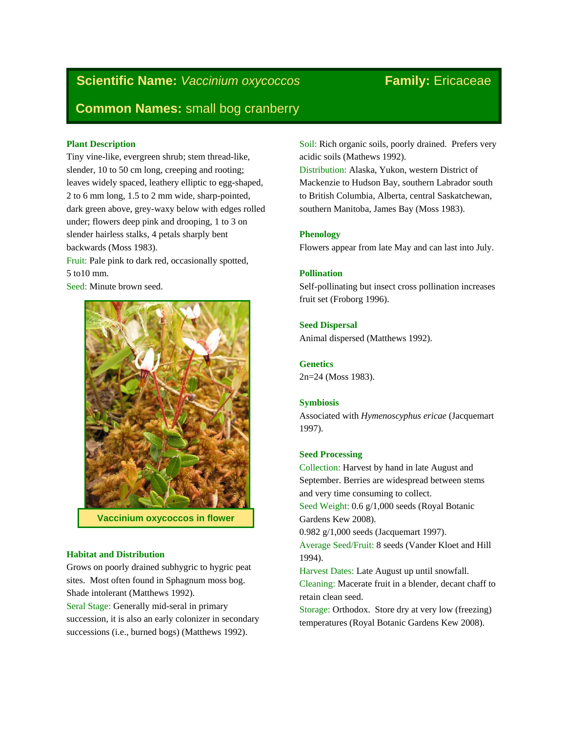# **Scientific Name:** *Vaccinium oxycoccos* Family: Ericaceae

# **Common Names:** small bog cranberry

# **Plant Description**

Tiny vine-like, evergreen shrub; stem thread-like, slender, 10 to 50 cm long, creeping and rooting; leaves widely spaced, leathery elliptic to egg-shaped, 2 to 6 mm long, 1.5 to 2 mm wide, sharp-pointed, dark green above, grey-waxy below with edges rolled under; flowers deep pink and drooping, 1 to 3 on slender hairless stalks, 4 petals sharply bent backwards (Moss 1983).

Fruit: Pale pink to dark red, occasionally spotted, 5 to10 mm.

Seed: Minute brown seed.



**Vaccinium oxycoccos in flower**

# **Habitat and Distribution**

Grows on poorly drained subhygric to hygric peat sites. Most often found in Sphagnum moss bog. Shade intolerant (Matthews 1992).

Seral Stage: Generally mid-seral in primary succession, it is also an early colonizer in secondary successions (i.e., burned bogs) (Matthews 1992).

Soil: Rich organic soils, poorly drained. Prefers very acidic soils (Mathews 1992).

Distribution: Alaska, Yukon, western District of Mackenzie to Hudson Bay, southern Labrador south to British Columbia, Alberta, central Saskatchewan, southern Manitoba, James Bay (Moss 1983).

# **Phenology**

Flowers appear from late May and can last into July.

# **Pollination**

Self-pollinating but insect cross pollination increases fruit set (Froborg 1996).

# **Seed Dispersal**

Animal dispersed (Matthews 1992).

**Genetics** 2n=24 (Moss 1983).

#### **Symbiosis**

Associated with *Hymenoscyphus ericae* (Jacquemart 1997).

### **Seed Processing**

Collection: Harvest by hand in late August and September. Berries are widespread between stems and very time consuming to collect.

Seed Weight: 0.6 g/1,000 seeds (Royal Botanic Gardens Kew 2008).

0.982 g/1,000 seeds (Jacquemart 1997). Average Seed/Fruit: 8 seeds (Vander Kloet and Hill 1994).

Harvest Dates: Late August up until snowfall.

Cleaning: Macerate fruit in a blender, decant chaff to retain clean seed.

Storage: Orthodox. Store dry at very low (freezing) temperatures (Royal Botanic Gardens Kew 2008).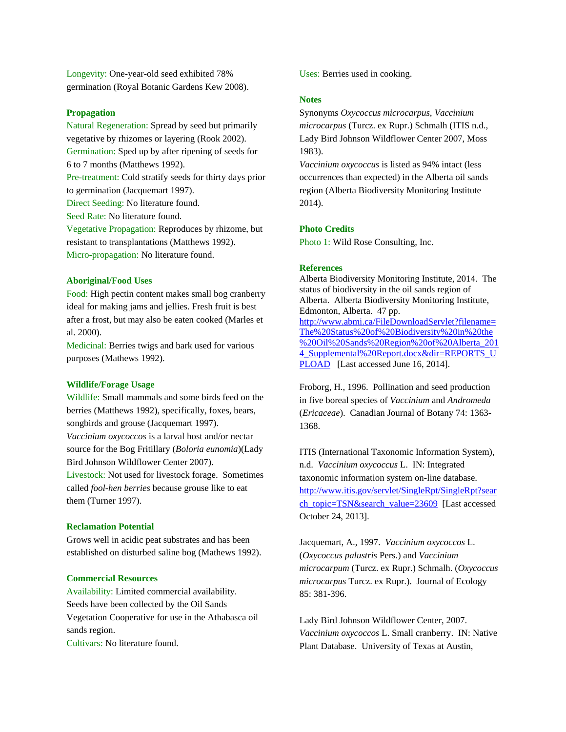Longevity: One-year-old seed exhibited 78% germination (Royal Botanic Gardens Kew 2008).

#### **Propagation**

Natural Regeneration: Spread by seed but primarily vegetative by rhizomes or layering (Rook 2002). Germination: Sped up by after ripening of seeds for 6 to 7 months (Matthews 1992). Pre-treatment: Cold stratify seeds for thirty days prior to germination (Jacquemart 1997). Direct Seeding: No literature found. Seed Rate: No literature found. Vegetative Propagation: Reproduces by rhizome, but resistant to transplantations (Matthews 1992). Micro-propagation: No literature found.

#### **Aboriginal/Food Uses**

Food: High pectin content makes small bog cranberry ideal for making jams and jellies. Fresh fruit is best after a frost, but may also be eaten cooked (Marles et al. 2000).

Medicinal: Berries twigs and bark used for various purposes (Mathews 1992).

#### **Wildlife/Forage Usage**

Wildlife: Small mammals and some birds feed on the berries (Matthews 1992), specifically, foxes, bears, songbirds and grouse (Jacquemart 1997). *Vaccinium oxycoccos* is a larval host and/or nectar source for the Bog Fritillary (*Boloria eunomia*)(Lady Bird Johnson Wildflower Center 2007).

Livestock: Not used for livestock forage. Sometimes called *fool-hen berries* because grouse like to eat them (Turner 1997).

#### **Reclamation Potential**

Grows well in acidic peat substrates and has been established on disturbed saline bog (Mathews 1992).

# **Commercial Resources**

Availability: Limited commercial availability. Seeds have been collected by the Oil Sands Vegetation Cooperative for use in the Athabasca oil sands region.

Cultivars: No literature found.

Uses: Berries used in cooking.

#### **Notes**

Synonyms *Oxycoccus microcarpus*, *Vaccinium microcarpus* (Turcz. ex Rupr.) Schmalh (ITIS n.d., Lady Bird Johnson Wildflower Center 2007, Moss 1983).

*Vaccinium oxycoccus* is listed as 94% intact (less occurrences than expected) in the Alberta oil sands region (Alberta Biodiversity Monitoring Institute 2014).

#### **Photo Credits**

Photo 1: Wild Rose Consulting, Inc.

#### **References**

Alberta Biodiversity Monitoring Institute, 2014. The status of biodiversity in the oil sands region of Alberta. Alberta Biodiversity Monitoring Institute, Edmonton, Alberta. 47 pp. [http://www.abmi.ca/FileDownloadServlet?filename=](http://www.abmi.ca/FileDownloadServlet?filename=The%20Status%20of%20Biodiversity%20in%20the%20Oil%20Sands%20Region%20of%20Alberta_2014_Supplemental%20Report.docx&dir=REPORTS_UPLOAD) [The%20Status%20of%20Biodiversity%20in%20the](http://www.abmi.ca/FileDownloadServlet?filename=The%20Status%20of%20Biodiversity%20in%20the%20Oil%20Sands%20Region%20of%20Alberta_2014_Supplemental%20Report.docx&dir=REPORTS_UPLOAD) [%20Oil%20Sands%20Region%20of%20Alberta\\_201](http://www.abmi.ca/FileDownloadServlet?filename=The%20Status%20of%20Biodiversity%20in%20the%20Oil%20Sands%20Region%20of%20Alberta_2014_Supplemental%20Report.docx&dir=REPORTS_UPLOAD) 4 Supplemental%20Report.docx&dir=REPORTS\_U [PLOAD](http://www.abmi.ca/FileDownloadServlet?filename=The%20Status%20of%20Biodiversity%20in%20the%20Oil%20Sands%20Region%20of%20Alberta_2014_Supplemental%20Report.docx&dir=REPORTS_UPLOAD) [Last accessed June 16, 2014].

Froborg, H., 1996. Pollination and seed production in five boreal species of *Vaccinium* and *Andromeda* (*Ericaceae*). Canadian Journal of Botany 74: 1363- 1368.

ITIS (International Taxonomic Information System), n.d. *Vaccinium oxycoccus* L. IN: Integrated taxonomic information system on-line database. [http://www.itis.gov/servlet/SingleRpt/SingleRpt?sear](http://www.itis.gov/servlet/SingleRpt/SingleRpt?search_topic=TSN&search_value=23609) [ch\\_topic=TSN&search\\_value=23609](http://www.itis.gov/servlet/SingleRpt/SingleRpt?search_topic=TSN&search_value=23609) [Last accessed October 24, 2013].

Jacquemart, A., 1997. *Vaccinium oxycoccos* L. (*Oxycoccus palustris* Pers.) and *Vaccinium microcarpum* (Turcz. ex Rupr.) Schmalh. (*Oxycoccus microcarpus* Turcz. ex Rupr.). Journal of Ecology 85: 381-396.

Lady Bird Johnson Wildflower Center, 2007. *Vaccinium oxycoccos* L. Small cranberry. IN: Native Plant Database. University of Texas at Austin,